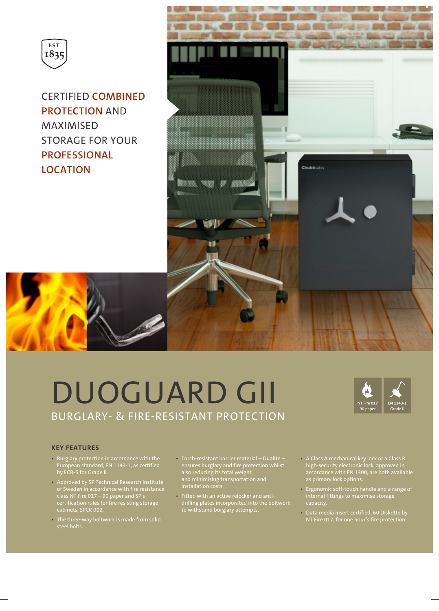

CERTIFIED **COMBINED PROTECTION** AND MAXIMISED STORAGE FOR YOUR **PROFESSIONAL LOCATION**



# DUOGUARD GII BURGLARY- & FIRE-RESISTANT PROTECTION



## **KEY FEATURES**

- Burglary protection in accordance with the European standard, EN 1143-1, as certified by ECB•S for Grade II.
- Approved by SP Technical Research Institute of Sweden in accordance with fire resistance class NT Fire 017 – 90 paper and SP's certification rules for fire resisting storage cabinets, SPCR 002.
- The three-way boltwork is made from solid
- Torch-resistant barrier material Dualite ensures burglary and fire protection whilst also reducing its total weight and minimising transportation and
- Fitted with an active relocker and antidrilling plates incorporated into the boltwork to withstand burglary attempts.
- A Class A mechanical key lock or a Class B high-security electronic lock, approved in accordance with EN 1300, are both available as primary lock options.
- Ergonomic soft-touch handle and a range of internal fittings to maximise storage capacity.
- Data media insert certified, 60 Diskette by NT Fire 017, for one hour's fire protection.